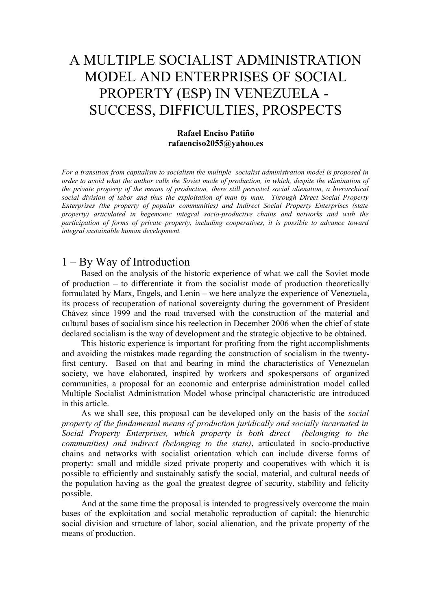# A MULTIPLE SOCIALIST ADMINISTRATION MODEL AND ENTERPRISES OF SOCIAL PROPERTY (ESP) IN VENEZUELA - SUCCESS, DIFFICULTIES, PROSPECTS

### **Rafael Enciso Patiño rafaenciso2055@yahoo.es**

*For a transition from capitalism to socialism the multiple socialist administration model is proposed in order to avoid what the author calls the Soviet mode of production, in which, despite the elimination of the private property of the means of production, there still persisted social alienation, a hierarchical social division of labor and thus the exploitation of man by man. Through Direct Social Property Enterprises (the property of popular communities) and Indirect Social Property Enterprises (state property) articulated in hegemonic integral socio-productive chains and networks and with the participation of forms of private property, including cooperatives, it is possible to advance toward integral sustainable human development.*

## 1 – By Way of Introduction

Based on the analysis of the historic experience of what we call the Soviet mode of production – to differentiate it from the socialist mode of production theoretically formulated by Marx, Engels, and Lenin – we here analyze the experience of Venezuela, its process of recuperation of national sovereignty during the government of President Chávez since 1999 and the road traversed with the construction of the material and cultural bases of socialism since his reelection in December 2006 when the chief of state declared socialism is the way of development and the strategic objective to be obtained.

This historic experience is important for profiting from the right accomplishments and avoiding the mistakes made regarding the construction of socialism in the twentyfirst century. Based on that and bearing in mind the characteristics of Venezuelan society, we have elaborated, inspired by workers and spokespersons of organized communities, a proposal for an economic and enterprise administration model called Multiple Socialist Administration Model whose principal characteristic are introduced in this article.

As we shall see, this proposal can be developed only on the basis of the *social property of the fundamental means of production juridically and socially incarnated in Social Property Enterprises, which property is both direct (belonging to the communities) and indirect (belonging to the state)*, articulated in socio-productive chains and networks with socialist orientation which can include diverse forms of property: small and middle sized private property and cooperatives with which it is possible to efficiently and sustainably satisfy the social, material, and cultural needs of the population having as the goal the greatest degree of security, stability and felicity possible.

And at the same time the proposal is intended to progressively overcome the main bases of the exploitation and social metabolic reproduction of capital: the hierarchic social division and structure of labor, social alienation, and the private property of the means of production.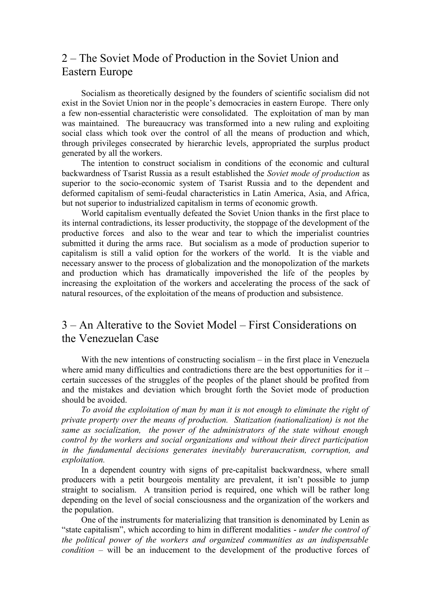# 2 – The Soviet Mode of Production in the Soviet Union and Eastern Europe

Socialism as theoretically designed by the founders of scientific socialism did not exist in the Soviet Union nor in the people's democracies in eastern Europe. There only a few non-essential characteristic were consolidated. The exploitation of man by man was maintained. The bureaucracy was transformed into a new ruling and exploiting social class which took over the control of all the means of production and which, through privileges consecrated by hierarchic levels, appropriated the surplus product generated by all the workers.

The intention to construct socialism in conditions of the economic and cultural backwardness of Tsarist Russia as a result established the *Soviet mode of production* as superior to the socio-economic system of Tsarist Russia and to the dependent and deformed capitalism of semi-feudal characteristics in Latin America, Asia, and Africa, but not superior to industrialized capitalism in terms of economic growth.

World capitalism eventually defeated the Soviet Union thanks in the first place to its internal contradictions, its lesser productivity, the stoppage of the development of the productive forces and also to the wear and tear to which the imperialist countries submitted it during the arms race. But socialism as a mode of production superior to capitalism is still a valid option for the workers of the world. It is the viable and necessary answer to the process of globalization and the monopolization of the markets and production which has dramatically impoverished the life of the peoples by increasing the exploitation of the workers and accelerating the process of the sack of natural resources, of the exploitation of the means of production and subsistence.

# 3 – An Alterative to the Soviet Model – First Considerations on the Venezuelan Case

With the new intentions of constructing socialism – in the first place in Venezuela where amid many difficulties and contradictions there are the best opportunities for it  $$ certain successes of the struggles of the peoples of the planet should be profited from and the mistakes and deviation which brought forth the Soviet mode of production should be avoided.

*To avoid the exploitation of man by man it is not enough to eliminate the right of private property over the means of production. Statization (nationalization) is not the same as socialization, the power of the administrators of the state without enough control by the workers and social organizations and without their direct participation in the fundamental decisions generates inevitably bureraucratism, corruption, and exploitation.* 

In a dependent country with signs of pre-capitalist backwardness, where small producers with a petit bourgeois mentality are prevalent, it isn't possible to jump straight to socialism. A transition period is required, one which will be rather long depending on the level of social consciousness and the organization of the workers and the population.

One of the instruments for materializing that transition is denominated by Lenin as "state capitalism", which according to him in different modalities - *under the control of the political power of the workers and organized communities as an indispensable condition* – will be an inducement to the development of the productive forces of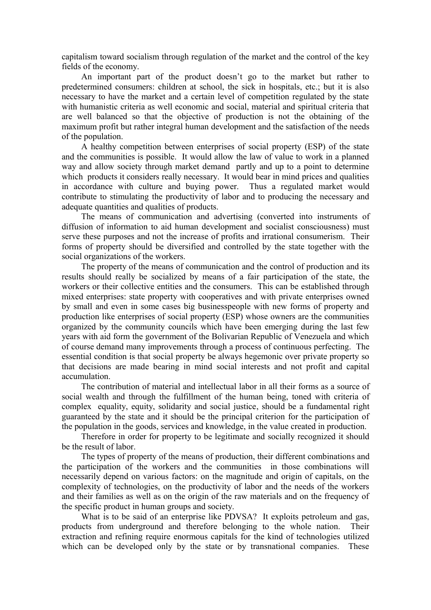capitalism toward socialism through regulation of the market and the control of the key fields of the economy.

An important part of the product doesn't go to the market but rather to predetermined consumers: children at school, the sick in hospitals, etc.; but it is also necessary to have the market and a certain level of competition regulated by the state with humanistic criteria as well economic and social, material and spiritual criteria that are well balanced so that the objective of production is not the obtaining of the maximum profit but rather integral human development and the satisfaction of the needs of the population.

A healthy competition between enterprises of social property (ESP) of the state and the communities is possible. It would allow the law of value to work in a planned way and allow society through market demand partly and up to a point to determine which products it considers really necessary. It would bear in mind prices and qualities in accordance with culture and buying power. Thus a regulated market would contribute to stimulating the productivity of labor and to producing the necessary and adequate quantities and qualities of products.

The means of communication and advertising (converted into instruments of diffusion of information to aid human development and socialist consciousness) must serve these purposes and not the increase of profits and irrational consumerism. Their forms of property should be diversified and controlled by the state together with the social organizations of the workers.

The property of the means of communication and the control of production and its results should really be socialized by means of a fair participation of the state, the workers or their collective entities and the consumers. This can be established through mixed enterprises: state property with cooperatives and with private enterprises owned by small and even in some cases big businesspeople with new forms of property and production like enterprises of social property (ESP) whose owners are the communities organized by the community councils which have been emerging during the last few years with aid form the government of the Bolivarian Republic of Venezuela and which of course demand many improvements through a process of continuous perfecting. The essential condition is that social property be always hegemonic over private property so that decisions are made bearing in mind social interests and not profit and capital accumulation.

The contribution of material and intellectual labor in all their forms as a source of social wealth and through the fulfillment of the human being, toned with criteria of complex equality, equity, solidarity and social justice, should be a fundamental right guaranteed by the state and it should be the principal criterion for the participation of the population in the goods, services and knowledge, in the value created in production.

Therefore in order for property to be legitimate and socially recognized it should be the result of labor.

The types of property of the means of production, their different combinations and the participation of the workers and the communities in those combinations will necessarily depend on various factors: on the magnitude and origin of capitals, on the complexity of technologies, on the productivity of labor and the needs of the workers and their families as well as on the origin of the raw materials and on the frequency of the specific product in human groups and society.

What is to be said of an enterprise like PDVSA? It exploits petroleum and gas, products from underground and therefore belonging to the whole nation. Their extraction and refining require enormous capitals for the kind of technologies utilized which can be developed only by the state or by transnational companies. These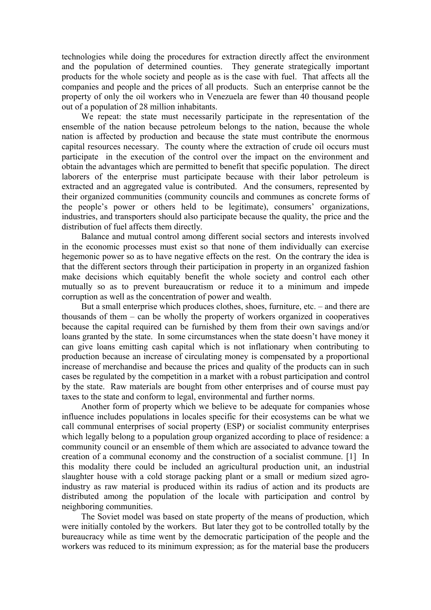technologies while doing the procedures for extraction directly affect the environment and the population of determined counties. They generate strategically important products for the whole society and people as is the case with fuel. That affects all the companies and people and the prices of all products. Such an enterprise cannot be the property of only the oil workers who in Venezuela are fewer than 40 thousand people out of a population of 28 million inhabitants.

We repeat: the state must necessarily participate in the representation of the ensemble of the nation because petroleum belongs to the nation, because the whole nation is affected by production and because the state must contribute the enormous capital resources necessary. The county where the extraction of crude oil occurs must participate in the execution of the control over the impact on the environment and obtain the advantages which are permitted to benefit that specific population. The direct laborers of the enterprise must participate because with their labor petroleum is extracted and an aggregated value is contributed. And the consumers, represented by their organized communities (community councils and communes as concrete forms of the people's power or others held to be legitimate), consumers' organizations, industries, and transporters should also participate because the quality, the price and the distribution of fuel affects them directly.

Balance and mutual control among different social sectors and interests involved in the economic processes must exist so that none of them individually can exercise hegemonic power so as to have negative effects on the rest. On the contrary the idea is that the different sectors through their participation in property in an organized fashion make decisions which equitably benefit the whole society and control each other mutually so as to prevent bureaucratism or reduce it to a minimum and impede corruption as well as the concentration of power and wealth.

But a small enterprise which produces clothes, shoes, furniture, etc. – and there are thousands of them – can be wholly the property of workers organized in cooperatives because the capital required can be furnished by them from their own savings and/or loans granted by the state. In some circumstances when the state doesn't have money it can give loans emitting cash capital which is not inflationary when contributing to production because an increase of circulating money is compensated by a proportional increase of merchandise and because the prices and quality of the products can in such cases be regulated by the competition in a market with a robust participation and control by the state. Raw materials are bought from other enterprises and of course must pay taxes to the state and conform to legal, environmental and further norms.

Another form of property which we believe to be adequate for companies whose influence includes populations in locales specific for their ecosystems can be what we call communal enterprises of social property (ESP) or socialist community enterprises which legally belong to a population group organized according to place of residence: a community council or an ensemble of them which are associated to advance toward the creation of a communal economy and the construction of a socialist commune. [1] In this modality there could be included an agricultural production unit, an industrial slaughter house with a cold storage packing plant or a small or medium sized agroindustry as raw material is produced within its radius of action and its products are distributed among the population of the locale with participation and control by neighboring communities.

The Soviet model was based on state property of the means of production, which were initially contoled by the workers. But later they got to be controlled totally by the bureaucracy while as time went by the democratic participation of the people and the workers was reduced to its minimum expression; as for the material base the producers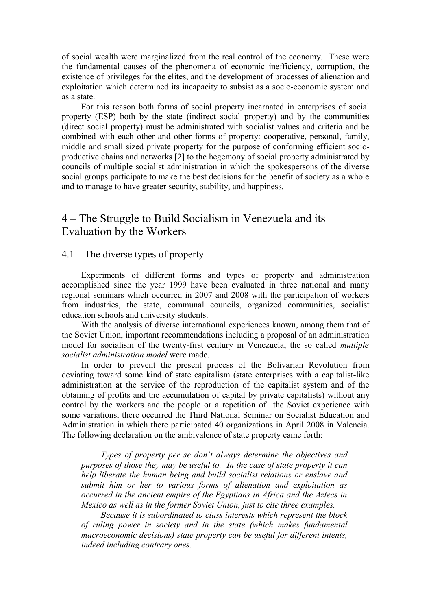of social wealth were marginalized from the real control of the economy. These were the fundamental causes of the phenomena of economic inefficiency, corruption, the existence of privileges for the elites, and the development of processes of alienation and exploitation which determined its incapacity to subsist as a socio-economic system and as a state.

For this reason both forms of social property incarnated in enterprises of social property (ESP) both by the state (indirect social property) and by the communities (direct social property) must be administrated with socialist values and criteria and be combined with each other and other forms of property: cooperative, personal, family, middle and small sized private property for the purpose of conforming efficient socioproductive chains and networks [2] to the hegemony of social property administrated by councils of multiple socialist administration in which the spokespersons of the diverse social groups participate to make the best decisions for the benefit of society as a whole and to manage to have greater security, stability, and happiness.

# 4 – The Struggle to Build Socialism in Venezuela and its Evaluation by the Workers

### 4.1 – The diverse types of property

Experiments of different forms and types of property and administration accomplished since the year 1999 have been evaluated in three national and many regional seminars which occurred in 2007 and 2008 with the participation of workers from industries, the state, communal councils, organized communities, socialist education schools and university students.

With the analysis of diverse international experiences known, among them that of the Soviet Union, important recommendations including a proposal of an administration model for socialism of the twenty-first century in Venezuela, the so called *multiple socialist administration model* were made.

In order to prevent the present process of the Bolivarian Revolution from deviating toward some kind of state capitalism (state enterprises with a capitalist-like administration at the service of the reproduction of the capitalist system and of the obtaining of profits and the accumulation of capital by private capitalists) without any control by the workers and the people or a repetition of the Soviet experience with some variations, there occurred the Third National Seminar on Socialist Education and Administration in which there participated 40 organizations in April 2008 in Valencia. The following declaration on the ambivalence of state property came forth:

*Types of property per se don't always determine the objectives and purposes of those they may be useful to. In the case of state property it can help liberate the human being and build socialist relations or enslave and submit him or her to various forms of alienation and exploitation as occurred in the ancient empire of the Egyptians in Africa and the Aztecs in Mexico as well as in the former Soviet Union, just to cite three examples.* 

*Because it is subordinated to class interests which represent the block of ruling power in society and in the state (which makes fundamental macroeconomic decisions) state property can be useful for different intents, indeed including contrary ones.*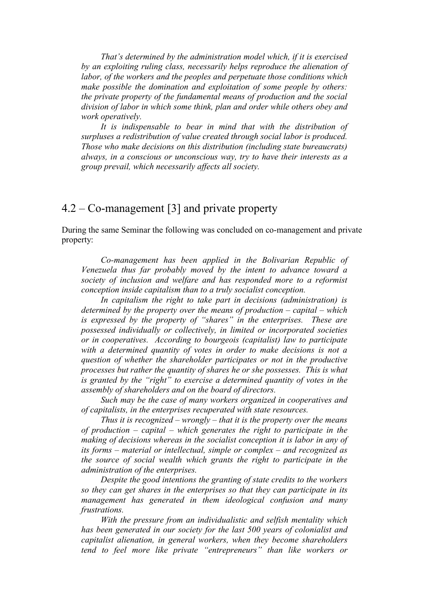*That's determined by the administration model which, if it is exercised by an exploiting ruling class, necessarily helps reproduce the alienation of labor, of the workers and the peoples and perpetuate those conditions which make possible the domination and exploitation of some people by others: the private property of the fundamental means of production and the social division of labor in which some think, plan and order while others obey and work operatively.* 

*It is indispensable to bear in mind that with the distribution of surpluses a redistribution of value created through social labor is produced. Those who make decisions on this distribution (including state bureaucrats) always, in a conscious or unconscious way, try to have their interests as a group prevail, which necessarily affects all society.* 

# 4.2 – Co-management [3] and private property

During the same Seminar the following was concluded on co-management and private property:

*Co-management has been applied in the Bolivarian Republic of Venezuela thus far probably moved by the intent to advance toward a society of inclusion and welfare and has responded more to a reformist conception inside capitalism than to a truly socialist conception.*

*In capitalism the right to take part in decisions (administration) is determined by the property over the means of production – capital – which is expressed by the property of "shares" in the enterprises. These are possessed individually or collectively, in limited or incorporated societies or in cooperatives. According to bourgeois (capitalist) law to participate with a determined quantity of votes in order to make decisions is not a question of whether the shareholder participates or not in the productive processes but rather the quantity of shares he or she possesses. This is what is granted by the "right" to exercise a determined quantity of votes in the assembly of shareholders and on the board of directors.* 

*Such may be the case of many workers organized in cooperatives and of capitalists, in the enterprises recuperated with state resources.*

*Thus it is recognized – wrongly – that it is the property over the means of production – capital – which generates the right to participate in the making of decisions whereas in the socialist conception it is labor in any of its forms – material or intellectual, simple or complex – and recognized as the source of social wealth which grants the right to participate in the administration of the enterprises.* 

*Despite the good intentions the granting of state credits to the workers so they can get shares in the enterprises so that they can participate in its management has generated in them ideological confusion and many frustrations.* 

*With the pressure from an individualistic and selfish mentality which has been generated in our society for the last 500 years of colonialist and capitalist alienation, in general workers, when they become shareholders tend to feel more like private "entrepreneurs" than like workers or*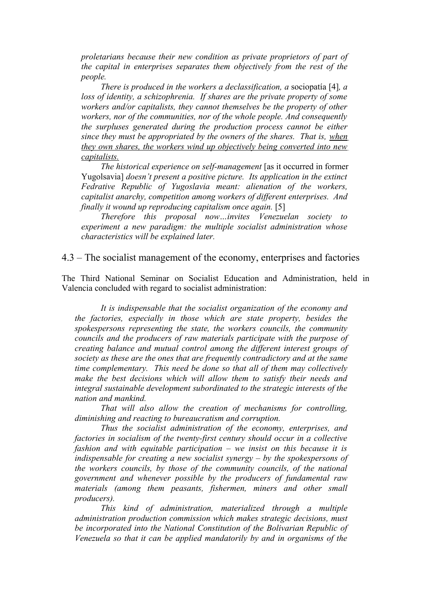*proletarians because their new condition as private proprietors of part of the capital in enterprises separates them objectively from the rest of the people.*

*There is produced in the workers a declassification, a* sociopatía [4]*, a loss of identity, a schizophrenia. If shares are the private property of some workers and/or capitalists, they cannot themselves be the property of other workers, nor of the communities, nor of the whole people. And consequently the surpluses generated during the production process cannot be either since they must be appropriated by the owners of the shares. That is, when they own shares, the workers wind up objectively being converted into new capitalists.*

*The historical experience on self-management* [as it occurred in former Yugolsavia] *doesn't present a positive picture. Its application in the extinct Fedrative Republic of Yugoslavia meant: alienation of the workers, capitalist anarchy, competition among workers of different enterprises. And finally it wound up reproducing capitalism once again.* [5]

*Therefore this proposal now…invites Venezuelan society to experiment a new paradigm: the multiple socialist administration whose characteristics will be explained later.*

4.3 – The socialist management of the economy, enterprises and factories

The Third National Seminar on Socialist Education and Administration, held in Valencia concluded with regard to socialist administration:

*It is indispensable that the socialist organization of the economy and the factories, especially in those which are state property, besides the spokespersons representing the state, the workers councils, the community councils and the producers of raw materials participate with the purpose of creating balance and mutual control among the different interest groups of society as these are the ones that are frequently contradictory and at the same time complementary. This need be done so that all of them may collectively make the best decisions which will allow them to satisfy their needs and integral sustainable development subordinated to the strategic interests of the nation and mankind.* 

*That will also allow the creation of mechanisms for controlling, diminishing and reacting to bureaucratism and corruption.*

*Thus the socialist administration of the economy, enterprises, and factories in socialism of the twenty-first century should occur in a collective fashion and with equitable participation – we insist on this because it is indispensable for creating a new socialist synergy – by the spokespersons of the workers councils, by those of the community councils, of the national government and whenever possible by the producers of fundamental raw materials (among them peasants, fishermen, miners and other small producers).*

*This kind of administration, materialized through a multiple administration production commission which makes strategic decisions, must be incorporated into the National Constitution of the Bolivarian Republic of Venezuela so that it can be applied mandatorily by and in organisms of the*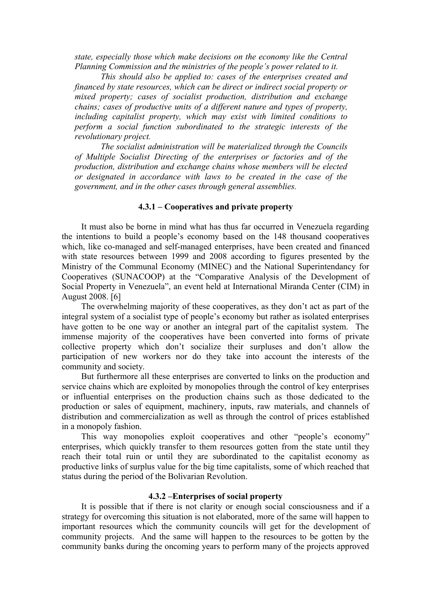*state, especially those which make decisions on the economy like the Central Planning Commission and the ministries of the people's power related to it.*

*This should also be applied to: cases of the enterprises created and financed by state resources, which can be direct or indirect social property or mixed property; cases of socialist production, distribution and exchange chains; cases of productive units of a different nature and types of property, including capitalist property, which may exist with limited conditions to perform a social function subordinated to the strategic interests of the revolutionary project.*

*The socialist administration will be materialized through the Councils of Multiple Socialist Directing of the enterprises or factories and of the production, distribution and exchange chains whose members will be elected or designated in accordance with laws to be created in the case of the government, and in the other cases through general assemblies.*

### **4.3.1 – Cooperatives and private property**

It must also be borne in mind what has thus far occurred in Venezuela regarding the intentions to build a people's economy based on the 148 thousand cooperatives which, like co-managed and self-managed enterprises, have been created and financed with state resources between 1999 and 2008 according to figures presented by the Ministry of the Communal Economy (MINEC) and the National Superintendancy for Cooperatives (SUNACOOP) at the "Comparative Analysis of the Development of Social Property in Venezuela", an event held at International Miranda Center (CIM) in August 2008. [6]

The overwhelming majority of these cooperatives, as they don't act as part of the integral system of a socialist type of people's economy but rather as isolated enterprises have gotten to be one way or another an integral part of the capitalist system. The immense majority of the cooperatives have been converted into forms of private collective property which don't socialize their surpluses and don't allow the participation of new workers nor do they take into account the interests of the community and society.

But furthermore all these enterprises are converted to links on the production and service chains which are exploited by monopolies through the control of key enterprises or influential enterprises on the production chains such as those dedicated to the production or sales of equipment, machinery, inputs, raw materials, and channels of distribution and commercialization as well as through the control of prices established in a monopoly fashion.

This way monopolies exploit cooperatives and other "people's economy" enterprises, which quickly transfer to them resources gotten from the state until they reach their total ruin or until they are subordinated to the capitalist economy as productive links of surplus value for the big time capitalists, some of which reached that status during the period of the Bolivarian Revolution.

#### **4.3.2 –Enterprises of social property**

It is possible that if there is not clarity or enough social consciousness and if a strategy for overcoming this situation is not elaborated, more of the same will happen to important resources which the community councils will get for the development of community projects. And the same will happen to the resources to be gotten by the community banks during the oncoming years to perform many of the projects approved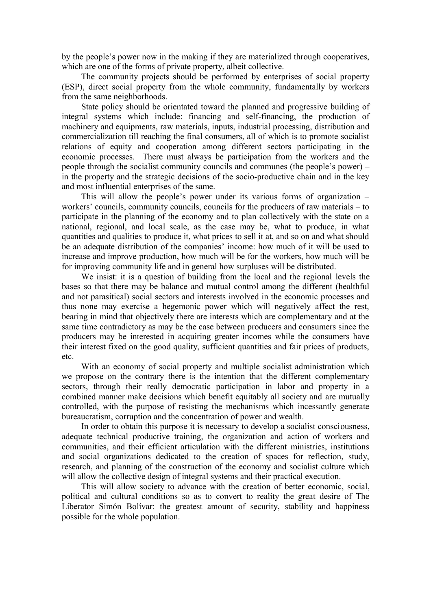by the people's power now in the making if they are materialized through cooperatives, which are one of the forms of private property, albeit collective.

The community projects should be performed by enterprises of social property (ESP), direct social property from the whole community, fundamentally by workers from the same neighborhoods.

State policy should be orientated toward the planned and progressive building of integral systems which include: financing and self-financing, the production of machinery and equipments, raw materials, inputs, industrial processing, distribution and commercialization till reaching the final consumers, all of which is to promote socialist relations of equity and cooperation among different sectors participating in the economic processes. There must always be participation from the workers and the people through the socialist community councils and communes (the people's power) – in the property and the strategic decisions of the socio-productive chain and in the key and most influential enterprises of the same.

This will allow the people's power under its various forms of organization – workers' councils, community councils, councils for the producers of raw materials – to participate in the planning of the economy and to plan collectively with the state on a national, regional, and local scale, as the case may be, what to produce, in what quantities and qualities to produce it, what prices to sell it at, and so on and what should be an adequate distribution of the companies' income: how much of it will be used to increase and improve production, how much will be for the workers, how much will be for improving community life and in general how surpluses will be distributed.

We insist: it is a question of building from the local and the regional levels the bases so that there may be balance and mutual control among the different (healthful and not parasitical) social sectors and interests involved in the economic processes and thus none may exercise a hegemonic power which will negatively affect the rest, bearing in mind that objectively there are interests which are complementary and at the same time contradictory as may be the case between producers and consumers since the producers may be interested in acquiring greater incomes while the consumers have their interest fixed on the good quality, sufficient quantities and fair prices of products, etc.

With an economy of social property and multiple socialist administration which we propose on the contrary there is the intention that the different complementary sectors, through their really democratic participation in labor and property in a combined manner make decisions which benefit equitably all society and are mutually controlled, with the purpose of resisting the mechanisms which incessantly generate bureaucratism, corruption and the concentration of power and wealth.

In order to obtain this purpose it is necessary to develop a socialist consciousness, adequate technical productive training, the organization and action of workers and communities, and their efficient articulation with the different ministries, institutions and social organizations dedicated to the creation of spaces for reflection, study, research, and planning of the construction of the economy and socialist culture which will allow the collective design of integral systems and their practical execution.

This will allow society to advance with the creation of better economic, social, political and cultural conditions so as to convert to reality the great desire of The Liberator Simón Bolívar: the greatest amount of security, stability and happiness possible for the whole population.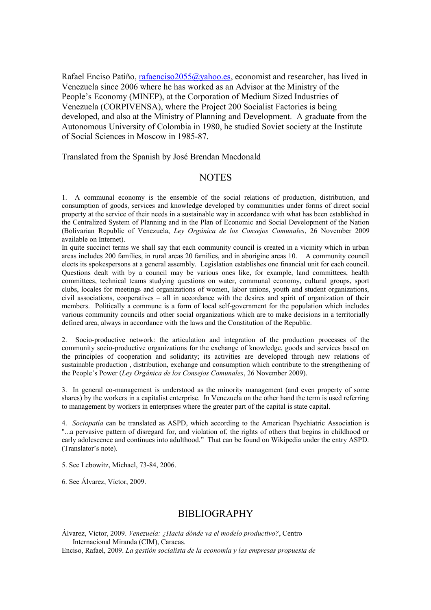Rafael Enciso Patiño, [rafaenciso2055@yahoo.es,](mailto:rafaenciso2055@yahoo.es) economist and researcher, has lived in Venezuela since 2006 where he has worked as an Advisor at the Ministry of the People's Economy (MINEP), at the Corporation of Medium Sized Industries of Venezuela (CORPIVENSA), where the Project 200 Socialist Factories is being developed, and also at the Ministry of Planning and Development. A graduate from the Autonomous University of Colombia in 1980, he studied Soviet society at the Institute of Social Sciences in Moscow in 1985-87.

Translated from the Spanish by José Brendan Macdonald

### **NOTES**

1. A communal economy is the ensemble of the social relations of production, distribution, and consumption of goods, services and knowledge developed by communities under forms of direct social property at the service of their needs in a sustainable way in accordance with what has been established in the Centralized System of Planning and in the Plan of Economic and Social Development of the Nation (Bolivarian Republic of Venezuela, *Ley Orgánica de los Consejos Comunales*, 26 November 2009 available on Internet).

In quite succinct terms we shall say that each community council is created in a vicinity which in urban areas includes 200 families, in rural areas 20 families, and in aborigine areas 10. A community council elects its spokespersons at a general assembly. Legislation establishes one financial unit for each council. Questions dealt with by a council may be various ones like, for example, land committees, health committees, technical teams studying questions on water, communal economy, cultural groups, sport clubs, locales for meetings and organizations of women, labor unions, youth and student organizations, civil associations, cooperatives – all in accordance with the desires and spirit of organization of their members. Politically a commune is a form of local self-government for the population which includes various community councils and other social organizations which are to make decisions in a territorially defined area, always in accordance with the laws and the Constitution of the Republic.

2. Socio-productive network: the articulation and integration of the production processes of the community socio-productive organizations for the exchange of knowledge, goods and services based on the principles of cooperation and solidarity; its activities are developed through new relations of sustainable production , distribution, exchange and consumption which contribute to the strengthening of the People's Power (*Ley Orgánica de los Consejos Comunales*, 26 November 2009).

3. In general co-management is understood as the minority management (and even property of some shares) by the workers in a capitalist enterprise. In Venezuela on the other hand the term is used referring to management by workers in enterprises where the greater part of the capital is state capital.

4. *Sociopatía* can be translated as ASPD, which according to the American Psychiatric Association is "...a pervasive pattern of disregard for, and violation of, the rights of others that begins in childhood or early adolescence and continues into adulthood." That can be found on Wikipedia under the entry ASPD. (Translator's note).

5. See Lebowitz, Michael, 73-84, 2006.

6. See Álvarez, Víctor, 2009.

### BIBLIOGRAPHY

Álvarez, Víctor, 2009. *Venezuela: ¿Hacia dónde va el modelo productivo?*, Centro Internacional Miranda (CIM), Caracas.

Enciso, Rafael, 2009. *La gestión socialista de la economía y las empresas propuesta de*